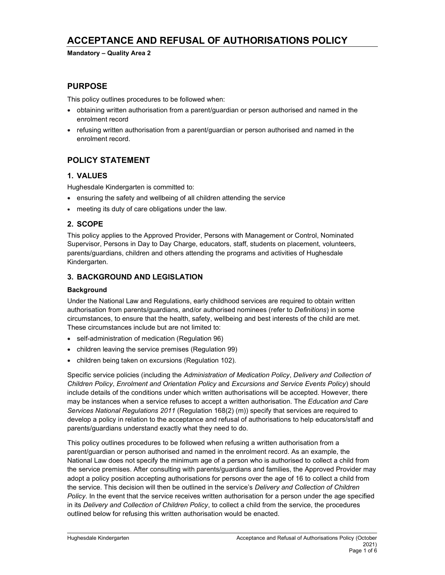# ACCEPTANCE AND REFUSAL OF AUTHORISATIONS POLICY

Mandatory – Quality Area 2

## PURPOSE

This policy outlines procedures to be followed when:

- obtaining written authorisation from a parent/guardian or person authorised and named in the enrolment record
- refusing written authorisation from a parent/guardian or person authorised and named in the enrolment record.

## POLICY STATEMENT

### 1. VALUES

Hughesdale Kindergarten is committed to:

- ensuring the safety and wellbeing of all children attending the service
- meeting its duty of care obligations under the law.

### 2. SCOPE

This policy applies to the Approved Provider, Persons with Management or Control, Nominated Supervisor, Persons in Day to Day Charge, educators, staff, students on placement, volunteers, parents/guardians, children and others attending the programs and activities of Hughesdale Kindergarten.

### 3. BACKGROUND AND LEGISLATION

#### **Background**

Under the National Law and Regulations, early childhood services are required to obtain written authorisation from parents/guardians, and/or authorised nominees (refer to Definitions) in some circumstances, to ensure that the health, safety, wellbeing and best interests of the child are met. These circumstances include but are not limited to:

- self-administration of medication (Regulation 96)
- children leaving the service premises (Regulation 99)
- children being taken on excursions (Regulation 102).

Specific service policies (including the Administration of Medication Policy, Delivery and Collection of Children Policy, Enrolment and Orientation Policy and Excursions and Service Events Policy) should include details of the conditions under which written authorisations will be accepted. However, there may be instances when a service refuses to accept a written authorisation. The Education and Care Services National Regulations 2011 (Regulation 168(2) (m)) specify that services are required to develop a policy in relation to the acceptance and refusal of authorisations to help educators/staff and parents/guardians understand exactly what they need to do.

This policy outlines procedures to be followed when refusing a written authorisation from a parent/guardian or person authorised and named in the enrolment record. As an example, the National Law does not specify the minimum age of a person who is authorised to collect a child from the service premises. After consulting with parents/guardians and families, the Approved Provider may adopt a policy position accepting authorisations for persons over the age of 16 to collect a child from the service. This decision will then be outlined in the service's Delivery and Collection of Children Policy. In the event that the service receives written authorisation for a person under the age specified in its Delivery and Collection of Children Policy, to collect a child from the service, the procedures outlined below for refusing this written authorisation would be enacted.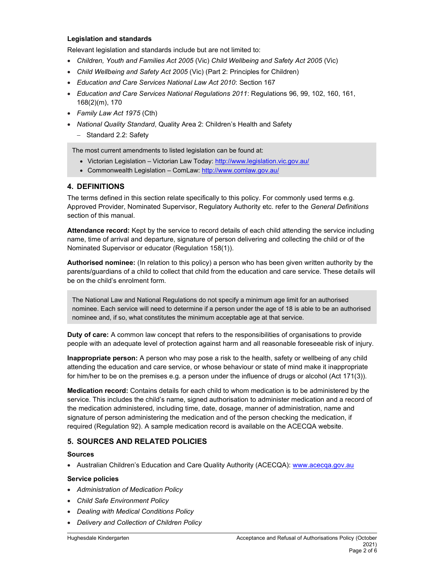#### Legislation and standards

Relevant legislation and standards include but are not limited to:

- Children, Youth and Families Act 2005 (Vic) Child Wellbeing and Safety Act 2005 (Vic)
- Child Wellbeing and Safety Act 2005 (Vic) (Part 2: Principles for Children)
- Education and Care Services National Law Act 2010: Section 167
- Education and Care Services National Regulations 2011: Regulations 96, 99, 102, 160, 161, 168(2)(m), 170
- Family Law Act 1975 (Cth)
- National Quality Standard, Quality Area 2: Children's Health and Safety
	- Standard 2.2: Safety

The most current amendments to listed legislation can be found at:

- Victorian Legislation Victorian Law Today: http://www.legislation.vic.gov.au/
- Commonwealth Legislation ComLaw: http://www.comlaw.gov.au/

#### 4. DEFINITIONS

The terms defined in this section relate specifically to this policy. For commonly used terms e.g. Approved Provider, Nominated Supervisor, Regulatory Authority etc. refer to the General Definitions section of this manual.

Attendance record: Kept by the service to record details of each child attending the service including name, time of arrival and departure, signature of person delivering and collecting the child or of the Nominated Supervisor or educator (Regulation 158(1)).

Authorised nominee: (In relation to this policy) a person who has been given written authority by the parents/guardians of a child to collect that child from the education and care service. These details will be on the child's enrolment form.

The National Law and National Regulations do not specify a minimum age limit for an authorised nominee. Each service will need to determine if a person under the age of 18 is able to be an authorised nominee and, if so, what constitutes the minimum acceptable age at that service.

Duty of care: A common law concept that refers to the responsibilities of organisations to provide people with an adequate level of protection against harm and all reasonable foreseeable risk of injury.

Inappropriate person: A person who may pose a risk to the health, safety or wellbeing of any child attending the education and care service, or whose behaviour or state of mind make it inappropriate for him/her to be on the premises e.g. a person under the influence of drugs or alcohol (Act 171(3)).

Medication record: Contains details for each child to whom medication is to be administered by the service. This includes the child's name, signed authorisation to administer medication and a record of the medication administered, including time, date, dosage, manner of administration, name and signature of person administering the medication and of the person checking the medication, if required (Regulation 92). A sample medication record is available on the ACECQA website.

### 5. SOURCES AND RELATED POLICIES

#### Sources

• Australian Children's Education and Care Quality Authority (ACECQA): www.acecqa.gov.au

#### Service policies

- Administration of Medication Policy
- Child Safe Environment Policy
- Dealing with Medical Conditions Policy
- Delivery and Collection of Children Policy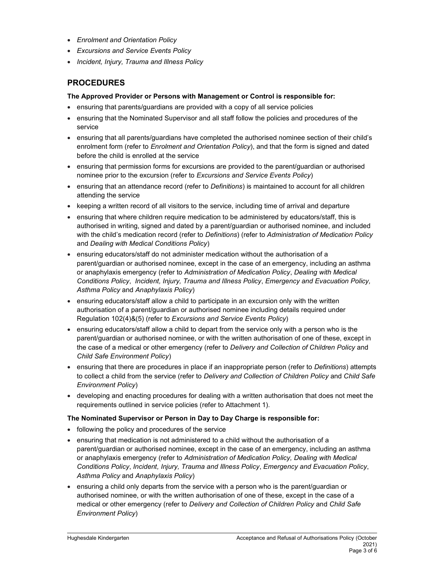- Enrolment and Orientation Policy
- **Excursions and Service Events Policy**
- Incident, Injury, Trauma and Illness Policy

## PROCEDURES

#### The Approved Provider or Persons with Management or Control is responsible for:

- ensuring that parents/guardians are provided with a copy of all service policies
- ensuring that the Nominated Supervisor and all staff follow the policies and procedures of the service
- ensuring that all parents/guardians have completed the authorised nominee section of their child's enrolment form (refer to *Enrolment and Orientation Policy*), and that the form is signed and dated before the child is enrolled at the service
- ensuring that permission forms for excursions are provided to the parent/guardian or authorised nominee prior to the excursion (refer to Excursions and Service Events Policy)
- ensuring that an attendance record (refer to Definitions) is maintained to account for all children attending the service
- keeping a written record of all visitors to the service, including time of arrival and departure
- ensuring that where children require medication to be administered by educators/staff, this is authorised in writing, signed and dated by a parent/guardian or authorised nominee, and included with the child's medication record (refer to Definitions) (refer to Administration of Medication Policy and Dealing with Medical Conditions Policy)
- ensuring educators/staff do not administer medication without the authorisation of a parent/guardian or authorised nominee, except in the case of an emergency, including an asthma or anaphylaxis emergency (refer to Administration of Medication Policy, Dealing with Medical Conditions Policy, Incident, Injury, Trauma and Illness Policy, Emergency and Evacuation Policy, Asthma Policy and Anaphylaxis Policy)
- ensuring educators/staff allow a child to participate in an excursion only with the written authorisation of a parent/guardian or authorised nominee including details required under Regulation 102(4)&(5) (refer to Excursions and Service Events Policy)
- ensuring educators/staff allow a child to depart from the service only with a person who is the parent/guardian or authorised nominee, or with the written authorisation of one of these, except in the case of a medical or other emergency (refer to Delivery and Collection of Children Policy and Child Safe Environment Policy)
- ensuring that there are procedures in place if an inappropriate person (refer to Definitions) attempts to collect a child from the service (refer to Delivery and Collection of Children Policy and Child Safe Environment Policy)
- developing and enacting procedures for dealing with a written authorisation that does not meet the requirements outlined in service policies (refer to Attachment 1).

#### The Nominated Supervisor or Person in Day to Day Charge is responsible for:

- following the policy and procedures of the service
- ensuring that medication is not administered to a child without the authorisation of a parent/guardian or authorised nominee, except in the case of an emergency, including an asthma or anaphylaxis emergency (refer to Administration of Medication Policy, Dealing with Medical Conditions Policy, Incident, Injury, Trauma and Illness Policy, Emergency and Evacuation Policy, Asthma Policy and Anaphylaxis Policy)
- ensuring a child only departs from the service with a person who is the parent/guardian or authorised nominee, or with the written authorisation of one of these, except in the case of a medical or other emergency (refer to Delivery and Collection of Children Policy and Child Safe Environment Policy)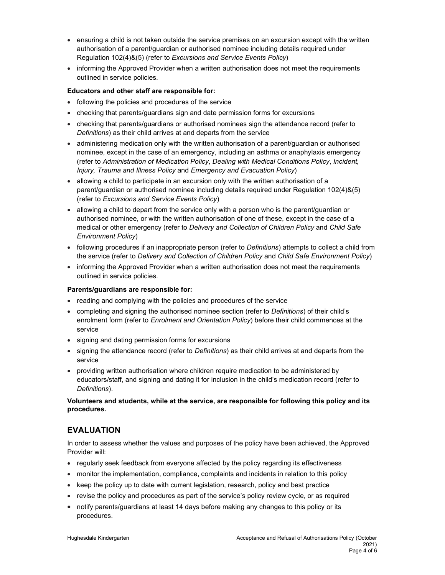- ensuring a child is not taken outside the service premises on an excursion except with the written authorisation of a parent/guardian or authorised nominee including details required under Regulation 102(4)&(5) (refer to Excursions and Service Events Policy)
- informing the Approved Provider when a written authorisation does not meet the requirements outlined in service policies.

#### Educators and other staff are responsible for:

- following the policies and procedures of the service
- checking that parents/guardians sign and date permission forms for excursions
- checking that parents/guardians or authorised nominees sign the attendance record (refer to Definitions) as their child arrives at and departs from the service
- administering medication only with the written authorisation of a parent/guardian or authorised nominee, except in the case of an emergency, including an asthma or anaphylaxis emergency (refer to Administration of Medication Policy, Dealing with Medical Conditions Policy, Incident, Injury, Trauma and Illness Policy and Emergency and Evacuation Policy)
- allowing a child to participate in an excursion only with the written authorisation of a parent/guardian or authorised nominee including details required under Regulation 102(4)&(5) (refer to Excursions and Service Events Policy)
- allowing a child to depart from the service only with a person who is the parent/guardian or authorised nominee, or with the written authorisation of one of these, except in the case of a medical or other emergency (refer to Delivery and Collection of Children Policy and Child Safe Environment Policy)
- following procedures if an inappropriate person (refer to *Definitions*) attempts to collect a child from the service (refer to Delivery and Collection of Children Policy and Child Safe Environment Policy)
- informing the Approved Provider when a written authorisation does not meet the requirements outlined in service policies.

#### Parents/guardians are responsible for:

- reading and complying with the policies and procedures of the service
- completing and signing the authorised nominee section (refer to Definitions) of their child's enrolment form (refer to *Enrolment and Orientation Policy*) before their child commences at the service
- signing and dating permission forms for excursions
- signing the attendance record (refer to Definitions) as their child arrives at and departs from the service
- providing written authorisation where children require medication to be administered by educators/staff, and signing and dating it for inclusion in the child's medication record (refer to Definitions).

Volunteers and students, while at the service, are responsible for following this policy and its procedures.

### EVALUATION

In order to assess whether the values and purposes of the policy have been achieved, the Approved Provider will:

- regularly seek feedback from everyone affected by the policy regarding its effectiveness
- monitor the implementation, compliance, complaints and incidents in relation to this policy
- $\bullet$  keep the policy up to date with current legislation, research, policy and best practice
- revise the policy and procedures as part of the service's policy review cycle, or as required
- notify parents/guardians at least 14 days before making any changes to this policy or its procedures.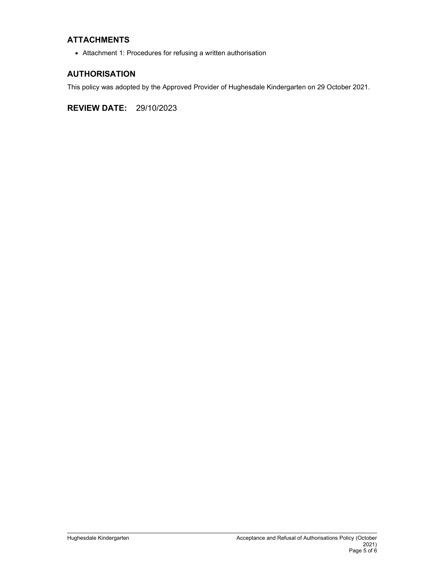## ATTACHMENTS

Attachment 1: Procedures for refusing a written authorisation

## AUTHORISATION

This policy was adopted by the Approved Provider of Hughesdale Kindergarten on 29 October 2021.

REVIEW DATE: 29/10/2023